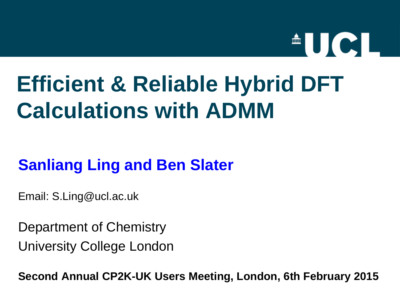# $\triangle$ UCL

# **Efficient & Reliable Hybrid DFT Calculations with ADMM**

### **Sanliang Ling and Ben Slater**

Email: S.Ling@ucl.ac.uk

Department of Chemistry University College London

**Second Annual CP2K-UK Users Meeting, London, 6th February 2015**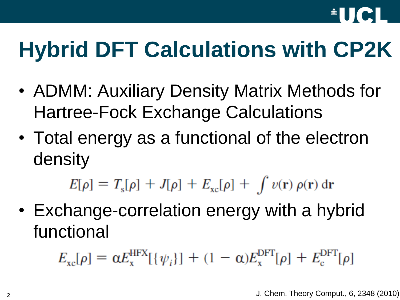

# **Hybrid DFT Calculations with CP2K**

- ADMM: Auxiliary Density Matrix Methods for Hartree-Fock Exchange Calculations
- Total energy as a functional of the electron density

 $E[\rho] = T_{\rm s}[\rho] + J[\rho] + E_{\rm xc}[\rho] + \int v(\mathbf{r}) \rho(\mathbf{r}) d\mathbf{r}$ 

• Exchange-correlation energy with a hybrid functional

 $E_{\rm xc}[\rho] = \alpha E_{\rm x}^{\rm HFX}[\{\psi_i\}] + (1-\alpha)E_{\rm x}^{\rm DFT}[\rho] + E_{\rm c}^{\rm DFT}[\rho]$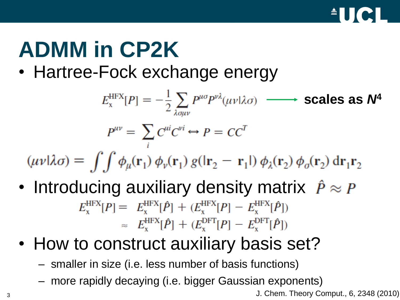

# **ADMM in CP2K**

• Hartree-Fock exchange energy

$$
E_{x}^{\text{HFX}}[P] = -\frac{1}{2} \sum_{\lambda q \mu \nu} P^{\mu \sigma} P^{\nu \lambda}(\mu \nu | \lambda \sigma) \longrightarrow \text{scales as } N^{\mu}
$$

$$
P^{\mu \nu} = \sum_{i} C^{\mu i} C^{\nu i} \leftrightarrow P = C C^{T}
$$

$$
uv|\lambda \sigma) = \int \int \phi_{\mu}(\mathbf{r}_{1}) \phi_{\nu}(\mathbf{r}_{1}) g(|\mathbf{r}_{2} - \mathbf{r}_{1}|) \phi_{\lambda}(\mathbf{r}_{2}) \phi_{\sigma}(\mathbf{r}_{2}) d\mathbf{r}_{1} \mathbf{r}_{2}
$$

- Introducing auxiliary density matrix  $\hat{P} \approx P$  $E_x^{\text{HFX}}[P] = E_x^{\text{HFX}}[\hat{P}] + (E_x^{\text{HFX}}[P] - E_x^{\text{HFX}}[\hat{P}])$  $\approx E_{\rm v}^{\rm HFX}[\hat{P}] + (E_{\rm v}^{\rm DFT}[P] - E_{\rm v}^{\rm DFT}[\hat{P}])$
- How to construct auxiliary basis set?
	- smaller in size (i.e. less number of basis functions)
	- more rapidly decaying (i.e. bigger Gaussian exponents)

<sup>3</sup> J. Chem. Theory Comput., 6, 2348 (2010)

Ú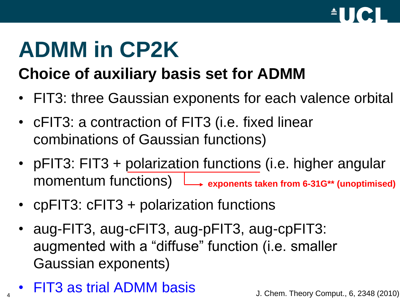

# **ADMM in CP2K**

## **Choice of auxiliary basis set for ADMM**

- FIT3: three Gaussian exponents for each valence orbital
- cFIT3: a contraction of FIT3 (i.e. fixed linear combinations of Gaussian functions)
- pFIT3: FIT3 + polarization functions (i.e. higher angular momentum functions) **exponents taken from 6-31G\*\* (unoptimised)**
- cpFIT3: cFIT3 + polarization functions
- aug-FIT3, aug-cFIT3, aug-pFIT3, aug-cpFIT3: augmented with a "diffuse" function (i.e. smaller Gaussian exponents)
- FIT3 as trial ADMM basis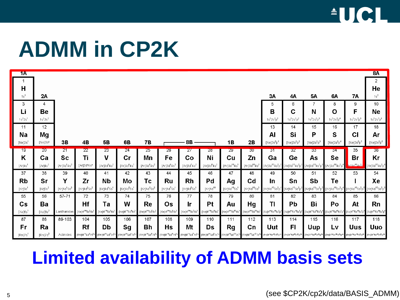

# **ADMM in CP2K**

| 1A                  |                         |                     |                                                      |                                                    |                                                        |                                                      |                                                      |                                                      |                                                        |                                                 |                                                |                                                         |                                                     |                                                         |                                                        |                                                                        | 8A                                                                                        |
|---------------------|-------------------------|---------------------|------------------------------------------------------|----------------------------------------------------|--------------------------------------------------------|------------------------------------------------------|------------------------------------------------------|------------------------------------------------------|--------------------------------------------------------|-------------------------------------------------|------------------------------------------------|---------------------------------------------------------|-----------------------------------------------------|---------------------------------------------------------|--------------------------------------------------------|------------------------------------------------------------------------|-------------------------------------------------------------------------------------------|
|                     |                         |                     |                                                      |                                                    |                                                        |                                                      |                                                      |                                                      |                                                        |                                                 |                                                |                                                         |                                                     |                                                         |                                                        |                                                                        | $\overline{c}$                                                                            |
| $\mathsf{H}$        |                         |                     |                                                      |                                                    |                                                        |                                                      |                                                      |                                                      |                                                        |                                                 |                                                |                                                         |                                                     |                                                         |                                                        |                                                                        | He                                                                                        |
| 1s <sup>1</sup>     | 2A                      |                     |                                                      |                                                    |                                                        |                                                      |                                                      |                                                      |                                                        |                                                 |                                                | 3A                                                      | <b>4A</b>                                           | 5A                                                      | 6A                                                     | 7Α                                                                     | $1s^2$                                                                                    |
| 3                   | 4                       |                     |                                                      |                                                    |                                                        |                                                      |                                                      |                                                      |                                                        |                                                 |                                                | 5                                                       | 6                                                   | 7                                                       | 8                                                      | 9                                                                      | 10                                                                                        |
| Li                  | Be                      |                     |                                                      |                                                    |                                                        |                                                      |                                                      |                                                      |                                                        |                                                 |                                                | B                                                       | C                                                   | Ν                                                       | $\mathbf O$                                            | F                                                                      | <b>Ne</b>                                                                                 |
| $1s^{2}2s^{1}$      | $1s^22s^2$              |                     |                                                      |                                                    |                                                        |                                                      |                                                      |                                                      |                                                        |                                                 |                                                | $1s^22s^2p^1$                                           | $1s^22s^2p^2$                                       | $1s^22s^2p^3$                                           | $1s^22s^2p^4$                                          | $1s^22s^2p^5$                                                          | $1s^{2}2s^{2}p^{6}$                                                                       |
| 11                  | 12                      |                     |                                                      |                                                    |                                                        |                                                      |                                                      |                                                      |                                                        |                                                 |                                                | 13                                                      | 14                                                  | 15                                                      | 16                                                     | 17                                                                     | 18                                                                                        |
| Na                  | Mg                      |                     |                                                      |                                                    |                                                        |                                                      |                                                      |                                                      |                                                        |                                                 |                                                | Al                                                      | Si                                                  | P                                                       | S                                                      | CI                                                                     | Ar                                                                                        |
| [Ne]3s <sup>1</sup> | [Ne]3s <sup>2</sup>     | 3B                  | 4B                                                   | 5 <b>B</b>                                         | 6B                                                     | <b>7B</b>                                            |                                                      | <b>8B</b>                                            |                                                        | 1B                                              | 2B                                             | $[\mathrm{Ne}]3\mathrm{s}^2\mathrm{p}^1$                | $[Ne]3s^2p^2$                                       | $[Ne]3s^2p^3$                                           | $[Ne]3s^2p^4$                                          | $[Ne]3s^2p^5$                                                          | $[\mathrm{Ne}]3\mathrm{s}^2\mathrm{p}^6$                                                  |
| 19                  | 20                      | 21                  | 22                                                   | $23\overline{)}$                                   | 24                                                     | 25                                                   | 26                                                   | $\overline{27}$                                      | 28                                                     | 29                                              | 30 <sub>z</sub>                                | 31                                                      | 32                                                  | 33 <sub>5</sub>                                         | 34                                                     | 35                                                                     | 36                                                                                        |
| K                   | Ca                      | <b>Sc</b>           | Τi                                                   | $\mathbf{V}$                                       | cr                                                     | Mn                                                   | Fe                                                   | Co                                                   | Ni                                                     | Cu                                              | Zn                                             | Ga                                                      | Ge                                                  | As                                                      | Se                                                     | <b>Br</b>                                                              | Kr                                                                                        |
| [Ar]4s <sup>1</sup> |                         |                     |                                                      |                                                    |                                                        |                                                      |                                                      |                                                      |                                                        |                                                 |                                                |                                                         |                                                     |                                                         |                                                        |                                                                        |                                                                                           |
|                     | [ $Ar$ ] $4s2$          | [ $Ar$ ] $3d^14s^2$ | [Ar]3d <sup>24</sup> s <sup>2</sup>                  | $[Ar]3d^34s^2$                                     | $[Ar]3d^54s^1$                                         | $[Ar]3d^54s^2$                                       | $[Ar]3d^{6}4s^{2}$                                   | [ $Ar$ ] $3d^74s^2$                                  | $[Ar]3d^84s^2$                                         | $\mbox{[Ar]}3\mbox{d}^{10}\mbox{4}\,\mbox{s}^1$ | $[Ar]3d^{10}4s^2$                              | $[Ar]3d^{10}4s^2p^1$                                    | $[Ar]3d^{10}4s^2p^2$                                | $[Ar]3d^{10}4s^{2}p^{3}$                                | $[Ar]3d^{10}4s^2p^4$                                   | 113d <sup>10</sup> 4s <sup>2</sup> r                                   | $[Ar]3d^{10}4s^2p^6$                                                                      |
| 37                  | 38                      | 39                  | 40                                                   | 41                                                 | 42                                                     | 43                                                   | 44                                                   | 45                                                   | 46                                                     | 47                                              | 48                                             | 49                                                      | 50                                                  | 51                                                      | 52                                                     | 53                                                                     | 54                                                                                        |
| <b>Rb</b>           | Sr                      | Y                   | Zr                                                   | <b>Nb</b>                                          | Mo                                                     | Тc                                                   | <b>Ru</b>                                            | <b>Rh</b>                                            | Pd                                                     | Ag                                              | Cd                                             | <u>In</u>                                               | Sn                                                  | Sb                                                      | Te                                                     |                                                                        | Xe                                                                                        |
| [Kr]5s <sup>1</sup> | $[Kr]$ 5s <sup>2</sup>  | [ $Kr$ ] $4d^15s^2$ | [Kr] $4d^25s^2$                                      | $\textsf{[Kr]}4\textsf{d}^4\textsf{5}\textsf{s}^1$ | $\left[\text{Kr}\right]\!\!4\text{d}^5\!\!5\text{s}^1$ | $\mbox{[Kr]} \rm 4d^55s^2$                           | $\text{[Kr]} \text{4d}^7 \text{5s}^1$                | $[Kr]4d^85s^1$                                       | $\left[\mathsf{Kr} \right] \!\! 4\text{d}^\mathrm{10}$ | $[Kr]4d^{10}5s^1$                               | $[Kr]4d^{10}5s^2$                              | [Kr]4d <sup>10</sup> 5s <sup>2</sup> p <sup>1</sup>     | [Kr]4d <sup>10</sup> 5s <sup>2</sup> p <sup>2</sup> | [Kr] $4d^{10}5s^{2}p^{3}$                               |                                                        |                                                                        | $[\text{Kr}]4d^{10}5s^2p^4\quad [\text{Kr}]4d^{10}5s^2p^5\quad [\text{Kr}]4d^{10}5s^2p^6$ |
| 55                  | 56                      | 57-71               | 72                                                   | 73                                                 | 74                                                     | 75                                                   | 76                                                   | 77                                                   | 78                                                     | 79                                              | 80                                             | 81                                                      | 82                                                  | 83                                                      | 84                                                     | 85                                                                     | 86                                                                                        |
| $\mathsf{Cs}$       | Ba                      |                     | Hf                                                   | Ta                                                 | W                                                      | Re                                                   | Os                                                   | Ir                                                   | Pt                                                     | Au                                              |                                                | <b>TI</b>                                               | Pb                                                  | Bi                                                      | Po                                                     | At                                                                     | Rn                                                                                        |
| [Xe]6s <sup>1</sup> | [ $Xe$ ]6s <sup>2</sup> | Lanthanides         | [Xe]4f <sup>14</sup> 5d <sup>2</sup> 6s <sup>2</sup> | $[Xe]4f^{14}5d^36s^2$                              | [Xe]4f <sup>14</sup> 5d <sup>4</sup> 6s <sup>2</sup>   | [Xe]4f <sup>14</sup> 5d <sup>6</sup> 6s <sup>2</sup> | [Xe]4f <sup>14</sup> 5d <sup>6</sup> 6s <sup>2</sup> | [Xe]4f <sup>14</sup> 5d <sup>7</sup> 6s <sup>2</sup> | [Xe]4f <sup>14</sup> 5d <sup>9</sup> 6s <sup>1</sup>   | [Xe]4f <sup>14</sup> 5d <sup>10</sup> 6s        | Hg<br>[Xe]4f <sup>14</sup> 5d <sup>10</sup> 6s | [Xe]4f <sup>14</sup> 5d <sup>10</sup> 6s <sup>2</sup> j | [Xe]4f"5d"6s <sup>2</sup> p <sup>2</sup>            | [Xe]4f <sup>46</sup> 5d <sup>10</sup> 6s <sup>2</sup> p | [Xe]4f <sup>4</sup> 5d <sup>10</sup> 6s <sup>2</sup> p | [Xe]4f <sup>46</sup> 5d <sup>10</sup> 6s <sup>2</sup> p <sup>6</sup> ] | [Xe]4f <sup>4</sup> 5d <sup>10</sup> 6s <sup>2</sup> p <sup>6</sup>                       |
| 87                  | 88                      | 89-103              | 104                                                  | 105                                                | 106                                                    | 107                                                  | 108                                                  | 109                                                  | 110                                                    | 111                                             | 112                                            | 113                                                     | 114                                                 | 115                                                     | 116                                                    | 117                                                                    | 118                                                                                       |
| Fr                  | Ra                      |                     | <b>Rf</b>                                            | Db                                                 | Sg                                                     | <b>Bh</b>                                            | Hs                                                   | Mt                                                   | Ds                                                     | <b>Rg</b>                                       | Cn                                             | Uut                                                     | FI                                                  | <b>Uup</b>                                              | Lv                                                     | <b>Uus</b>                                                             | <b>Uuo</b>                                                                                |

## **Limited availability of ADMM basis sets**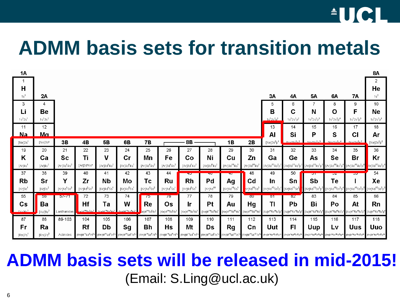## $\textcolor{red}{\bullet}$  U C I

## **ADMM basis sets for transition metals**

| 1A                     |                         |                                                    |                                     |                                       |                                       |                                                        |                                                      |                                                      |                                         |                                          |                                                      |                                                         |                                                        |                                                       |                                            |                                                                                                                                                             | <b>8A</b>                                                           |
|------------------------|-------------------------|----------------------------------------------------|-------------------------------------|---------------------------------------|---------------------------------------|--------------------------------------------------------|------------------------------------------------------|------------------------------------------------------|-----------------------------------------|------------------------------------------|------------------------------------------------------|---------------------------------------------------------|--------------------------------------------------------|-------------------------------------------------------|--------------------------------------------|-------------------------------------------------------------------------------------------------------------------------------------------------------------|---------------------------------------------------------------------|
| -1                     |                         |                                                    |                                     |                                       |                                       |                                                        |                                                      |                                                      |                                         |                                          |                                                      |                                                         |                                                        |                                                       |                                            |                                                                                                                                                             | 2                                                                   |
| H                      |                         |                                                    |                                     |                                       |                                       |                                                        |                                                      |                                                      |                                         |                                          |                                                      |                                                         |                                                        |                                                       |                                            |                                                                                                                                                             | He                                                                  |
| 1s <sup>1</sup>        | 2A                      |                                                    |                                     |                                       |                                       |                                                        |                                                      |                                                      |                                         |                                          |                                                      | ЗΑ                                                      | 4Α                                                     | <b>5A</b>                                             | 6A                                         | 7A                                                                                                                                                          | $1s^2$                                                              |
| 3                      | 4                       |                                                    |                                     |                                       |                                       |                                                        |                                                      |                                                      |                                         |                                          |                                                      | 5                                                       | 6                                                      | 7                                                     | 8                                          | 9                                                                                                                                                           | 10                                                                  |
| Li                     | Be                      |                                                    |                                     |                                       |                                       |                                                        |                                                      |                                                      |                                         |                                          |                                                      | B                                                       | C                                                      | Ν                                                     | $\mathbf O$                                | F                                                                                                                                                           | Ne                                                                  |
| $1s^{2}2s^{1}$         | $1s^22s^2$              |                                                    |                                     |                                       |                                       |                                                        |                                                      |                                                      |                                         |                                          |                                                      | $1s^22s^2p^1$                                           | $1s^22s^2p^2$                                          | $1s^22s^2p^3$                                         | $1s^22s^2p^4$                              | $1s^22s^2p^5$                                                                                                                                               | $1s^22s^2p^6$                                                       |
| 11                     | 12                      |                                                    |                                     |                                       |                                       |                                                        |                                                      |                                                      |                                         |                                          |                                                      | 13                                                      | 14                                                     | 15                                                    | 16                                         | 17                                                                                                                                                          | 18                                                                  |
| <u>Na</u>              | <u>Μα</u>               |                                                    |                                     |                                       |                                       |                                                        |                                                      |                                                      |                                         |                                          |                                                      | Al                                                      | Si                                                     | P                                                     | S                                          | C1                                                                                                                                                          | Ar                                                                  |
| $[Ne]3s^1$             | [Ne]3s <sup>2</sup>     | 3B                                                 | 4B                                  | <b>5B</b>                             | 6B                                    | <b>7B</b>                                              |                                                      | <b>8B</b>                                            |                                         | 1B                                       | 2B                                                   | [Ne]3s <sup>2</sup> p                                   | IMa13e <sup>2</sup> n <sup>2</sup>                     | $Na12c^{2n^3}$                                        | $\frac{1}{2}$ $\frac{12}{2}$ $\frac{2}{3}$ | $M0$ $R0$ $2n5$                                                                                                                                             | $[Ne]3s^2p^6$                                                       |
| 19                     | 20                      | 21                                                 | 22                                  | 23                                    | 24                                    | 25                                                     | 26                                                   | 27                                                   | 28                                      | 29                                       | 30                                                   | 31                                                      | 32                                                     | 33                                                    | 34                                         | 35                                                                                                                                                          | 36                                                                  |
|                        |                         |                                                    |                                     |                                       |                                       |                                                        |                                                      |                                                      |                                         |                                          |                                                      |                                                         |                                                        |                                                       |                                            |                                                                                                                                                             |                                                                     |
| K                      | Ca                      | <b>Sc</b>                                          | Τi                                  | V                                     | Cr                                    | Mn                                                     | Fe                                                   | Co                                                   | Ni                                      | $cu$                                     | Zn                                                   | Ga                                                      | Ge                                                     | As                                                    | Se                                         | <b>Br</b>                                                                                                                                                   | Kr                                                                  |
| [Ar]4s <sup>1</sup>    | [ $Ar$ ] $4s2$          | $[Ar]3d^14s^2$                                     | [Ar]3d <sup>2</sup> 4s <sup>2</sup> | $[Ar]3d^34s^2$                        | $[Ar]3d^54s^1$                        | $[Ar]3d^54s^2$                                         | $[Ar]3d^64s^2$                                       | [ $Ar$ ] $3d^74s^2$                                  | [ $Ar$ ] $3d^84s^2$                     | $[Ar]3d^{10}4s^1$                        | $[Ar]3d^{10}4s^2$                                    |                                                         | $[Ar]3d^{10}4s^2p^1$ $[Ar]3d^{10}4s^2p^2$              | $[Ar]3d^{10}4s^2p^3$                                  |                                            | $[Ar]3d^{10}4s^2p^4$ $[Ar]3d^{10}4s^2p^5$                                                                                                                   | 4r]3d <sup>10</sup> 4s <sup>2</sup> p <sup>6</sup>                  |
| 37                     | 38                      | 39                                                 | 40                                  | 41                                    | 42                                    | 43                                                     | 44                                                   | ᠇ᠣ                                                   | ᠇ᠣ                                      | $\overline{\phantom{a}}$                 | 48                                                   | 49                                                      | 50                                                     | ਹਾ                                                    | ᡂ                                          | ᠊ᡂ                                                                                                                                                          | 54                                                                  |
| <b>Rb</b>              | Sr                      | Y                                                  | Zr                                  | <b>Nb</b>                             | Mo                                    | Тc                                                     | <b>Ru</b>                                            | <b>Rh</b>                                            | Pd                                      | Ag                                       | Cd                                                   | In                                                      | Sn                                                     | Sb                                                    | Te                                         |                                                                                                                                                             | Xe                                                                  |
| $[Kr]$ 5s <sup>1</sup> | [Kr]5s <sup>2</sup>     | $\left[\text{Kr}\right]\!\!4\text{d}^15\text{s}^2$ | [Kr]4d <sup>2</sup> 5s <sup>2</sup> | $\text{[Kr]} \text{4d}^4 \text{5s}^1$ | $\text{[Kr]} \text{4d}^5 \text{5s}^1$ | $\left[\text{Kr}\right]\!\!4\text{d}^5\!\!5\text{s}^2$ | [Kr]4d <sup>7</sup> 5s <sup>1</sup>                  | $\rm [Kr] 4d^85s^1$                                  | [Kr]4d <sup>10</sup>                    | $[Kr]4d^{10}5s^1$                        | $\text{kr}$ ]4d <sup>10</sup> 5s <sup>2</sup>        | [Kr]4d <sup>10</sup> 5s <sup>2</sup> p <sup>1</sup>     | $Kr$ ]4d <sup>10</sup> 5s <sup>2</sup>                 | [Kr]4d <sup>10</sup> 5s <sup>2</sup> p <sup>3</sup>   |                                            | [Kr]4d <sup>10</sup> 5s <sup>2</sup> p <sup>4</sup> [Kr]4d <sup>10</sup> 5s <sup>2</sup> p <sup>5</sup> [Kr]4d <sup>10</sup> 5s <sup>2</sup> p <sup>6</sup> |                                                                     |
| 55                     | 5 <sub>b</sub>          | $51 - 11$                                          | 72                                  | 73                                    | 74                                    | 75                                                     | 75                                                   | 77                                                   | 78                                      | 79                                       | $\overline{\text{ov}}$                               | ठा                                                      | $\sigma$                                               | 83                                                    | 84                                         | 85                                                                                                                                                          | 86                                                                  |
| Cs                     | Ba                      |                                                    | Hf                                  | Ta                                    | W                                     | Re                                                     | Os                                                   | Ir                                                   | <b>Pt</b>                               | Au                                       | Hg                                                   | TI                                                      | Pb                                                     | Bi                                                    | Po                                         | At                                                                                                                                                          | Rn                                                                  |
| $N$ ala $^{-1}$        | [ $Xe$ ]6s <sup>2</sup> | Lanthanides                                        | KAM <sup>14</sup> 5d <sup>2</sup> 6 | $1 \times 10^{14}$ 5d <sup>3</sup>    | $\sqrt{a}1/4^{14}5d^{4}a^{2}$         | e14f <sup>14</sup> 5d <sup>6</sup> 6s <sup>2</sup>     | [Xe]4f <sup>14</sup> 5d <sup>6</sup> 6s <sup>2</sup> | [Xe]4f <sup>14</sup> 5d <sup>7</sup> 6s <sup>2</sup> | [Xe]4f <sup>14</sup> 5d <sup>9</sup> 6s | [Xe]4f <sup>14</sup> 5d <sup>10</sup> 6s | Xe]4f <sup>14</sup> 5d <sup>10</sup> 6s <sup>2</sup> | (Xe)4f <sup>14</sup> 5d <sup>10</sup> 6s <sup>2</sup> p | [Xe]4f <sup>4</sup> 5d <sup>10</sup> 6s <sup>2</sup> ] | [Xe]4f <sup>14</sup> 5d <sup>10</sup> 6s <sup>2</sup> | "Xe]4f"5d""6s <sup>2</sup>                 | [Xe]4f <sup>4</sup> *5d <sup>10</sup> 6s <sup>2</sup> p                                                                                                     | [Xe]4f <sup>4</sup> 5d <sup>10</sup> 6s <sup>2</sup> p <sup>6</sup> |
| 87                     | 88                      | 89-103                                             | 104                                 | 105                                   | 106                                   | 107                                                    | 108                                                  | 109                                                  | 110                                     | 111                                      | 112                                                  | 113                                                     | 114                                                    | 115                                                   | 116                                        | 117                                                                                                                                                         | 118                                                                 |
| Fr                     | Ra                      |                                                    | Rf                                  | Db                                    | Sg                                    | Bh                                                     | Hs                                                   | Mt                                                   | <b>Ds</b>                               | <b>Rg</b>                                | Cn                                                   | Uut                                                     | F1                                                     | <b>Uup</b>                                            | Lv                                         | <b>Uus</b>                                                                                                                                                  | <b>Uuo</b>                                                          |

### **ADMM basis sets will be released in mid-2015!** (Email: S.Ling@ucl.ac.uk)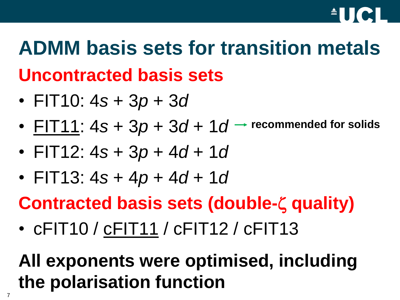

# **ADMM basis sets for transition metals Uncontracted basis sets**

- FIT10: 4*s* + 3*p* + 3*d*
- FIT11:  $4s + 3p + 3d + 1d$ **recommended for solids**
- FIT12: 4*s* + 3*p* + 4*d* + 1*d*
- FIT13:  $4s + 4p + 4d + 1d$
- **Contracted basis sets (double-ζ quality)**
- cFIT10 / cFIT11 / cFIT12 / cFIT13

## **All exponents were optimised, including the polarisation function**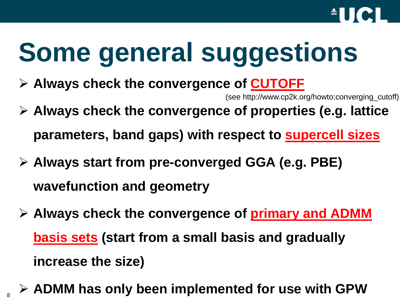

# **Some general suggestions**

**Always check the convergence of CUTOFF**

(see http://www.cp2k.org/howto:converging\_cutoff)

- **Always check the convergence of properties (e.g. lattice parameters, band gaps) with respect to supercell sizes**
- **Always start from pre-converged GGA (e.g. PBE) wavefunction and geometry**
- **Always check the convergence of primary and ADMM basis sets (start from a small basis and gradually increase the size)**
- <sup>8</sup> **ADMM has only been implemented for use with GPW**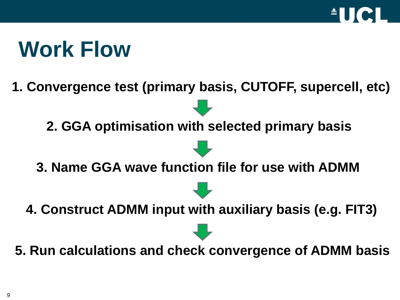

# **Work Flow**

**1. Convergence test (primary basis, CUTOFF, supercell, etc)**

**2. GGA optimisation with selected primary basis**

- **3. Name GGA wave function file for use with ADMM**
- **4. Construct ADMM input with auxiliary basis (e.g. FIT3)**
- **5. Run calculations and check convergence of ADMM basis**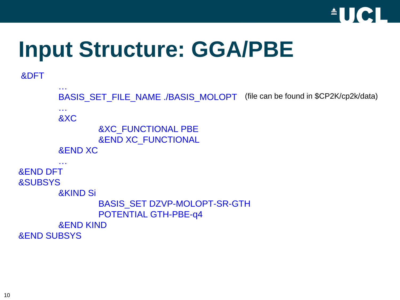

# **Input Structure: GGA/PBE**

```
&DFT
```

```
…
        BASIS_SET_FILE_NAME ./BASIS_MOLOPT
        …
        &XC
                &XC_FUNCTIONAL PBE
                &END XC_FUNCTIONAL
        &END XC
        …
&END DFT
&SUBSYS
        &KIND Si
                BASIS_SET DZVP-MOLOPT-SR-GTH
                POTENTIAL GTH-PBE-q4
        &END KIND
&END SUBSYS
                                             (file can be found in $CP2K/cp2k/data)
```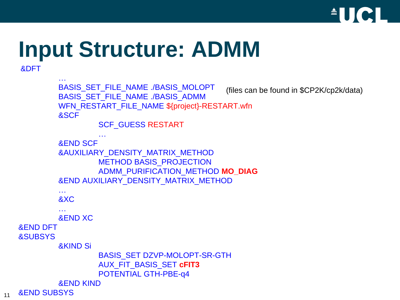

# **Input Structure: ADMM**

```
…
           BASIS_SET_FILE_NAME ./BASIS_MOLOPT
           BASIS_SET_FILE_NAME ./BASIS_ADMM
           WFN_RESTART_FILE_NAME ${project}-RESTART.wfn
           &SCF
                    SCF_GUESS RESTART
                     …
           &END SCF
           &AUXILIARY_DENSITY_MATRIX_METHOD
                    METHOD BASIS PROJECTION
                    ADMM_PURIFICATION_METHOD MO_DIAG
            &END AUXILIARY_DENSITY_MATRIX_METHOD
            …
            &XC
            …
           &END XC
   &END DFT
   &SUBSYS
            &KIND Si
                    BASIS_SET DZVP-MOLOPT-SR-GTH
                    AUX_FIT_BASIS_SET cFIT3
                    POTENTIAL GTH-PBE-q4
           &END KIND
11 &END SUBSYS
                                                 (files can be found in $CP2K/cp2k/data)
```
&DFT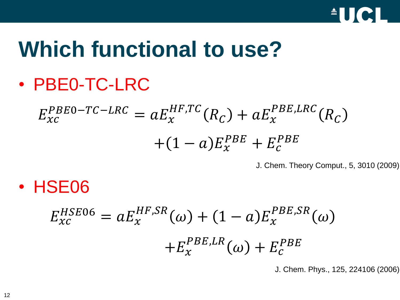

# **Which functional to use?**

• PBE0-TC-LRC

$$
E_{xc}^{PBE0-TC-LRC} = aE_x^{HF,TC}(R_C) + aE_x^{PBE,LRC}(R_C)
$$

$$
+ (1-a)E_x^{PBE} + E_c^{PBE}
$$

J. Chem. Theory Comput., 5, 3010 (2009)

• HSE06

$$
E_{xc}^{HSE06} = aE_x^{HF,SR}(\omega) + (1 - a)E_x^{PBE,SR}(\omega)
$$

$$
+ E_x^{PBE,LR}(\omega) + E_c^{PBE}
$$

J. Chem. Phys., 125, 224106 (2006)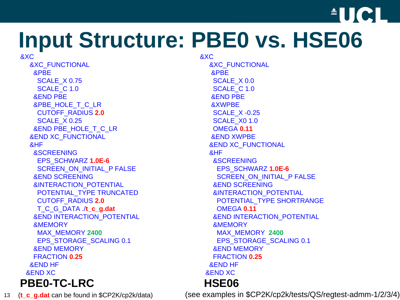

# **Input Structure: PBE0 vs. HSE06**

&XC &XC\_FUNCTIONAL &PBE SCALE\_X 0.75 SCALE C 1.0 &END PBE &PBE\_HOLE\_T\_C\_LR CUTOFF\_RADIUS **2.0** SCALE\_X 0.25 &END PBE\_HOLE\_T\_C\_LR &END XC\_FUNCTIONAL &HF &SCREENING EPS\_SCHWARZ **1.0E-6** SCREEN\_ON\_INITIAL\_P FALSE &END SCREENING &INTERACTION\_POTENTIAL POTENTIAL\_TYPE TRUNCATED CUTOFF\_RADIUS **2.0** T\_C\_G\_DATA ./**t\_c\_g.dat** &END INTERACTION\_POTENTIAL &MEMORY MAX\_MEMORY **2400** EPS\_STORAGE\_SCALING 0.1 &END MEMORY FRACTION **0.25** &END HF &END XC **PBE0-TC-LRC HSE06**

&XC &XC\_FUNCTIONAL &PBE SCALE X 0.0 SCALE C 1.0 &END PBE &XWPBE SCALE\_X -0.25 SCALE\_X0 1.0 OMEGA **0.11** &END XWPBE &END XC\_FUNCTIONAL &HF &SCREENING EPS\_SCHWARZ **1.0E-6** SCREEN\_ON\_INITIAL\_P FALSE &END SCREENING &INTERACTION\_POTENTIAL POTENTIAL\_TYPE SHORTRANGE OMEGA **0.11** &END INTERACTION\_POTENTIAL &MEMORY MAX\_MEMORY **2400** EPS\_STORAGE\_SCALING 0.1 &END MEMORY FRACTION **0.25** &END HF &END XC

13 (**t\_c\_g.dat** can be found in \$CP2K/cp2k/data) (see examples in \$CP2K/cp2k/tests/QS/regtest-admm-1/2/3/4)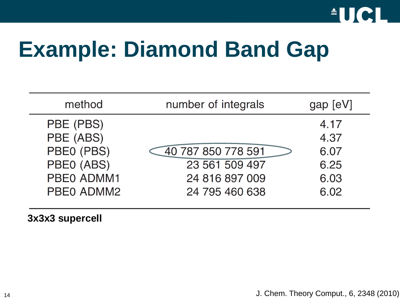

# **Example: Diamond Band Gap**

| method     | number of integrals | gap [eV] |
|------------|---------------------|----------|
| PBE (PBS)  |                     | 4.17     |
| PBE (ABS)  |                     | 4.37     |
| PBE0 (PBS) | 40 787 850 778 591  | 6.07     |
| PBE0 (ABS) | 23 561 509 497      | 6.25     |
| PBE0 ADMM1 | 24 816 897 009      | 6.03     |
| PBE0 ADMM2 | 24 795 460 638      | 6.02     |
|            |                     |          |

**3x3x3 supercell**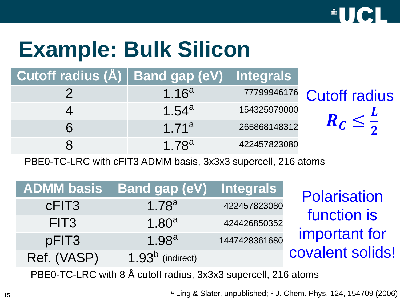

# **Example: Bulk Silicon**

**Cutoff radius (Å) Band gap (eV) Integrals**

| 77799946176 Cutoff radius |              | 1.16 $a$          |  |
|---------------------------|--------------|-------------------|--|
|                           | 154325979000 | 1.54 $a$          |  |
|                           | 265868148312 | 1.71 <sup>a</sup> |  |
|                           | 422457823080 | 1 7 $8^a$         |  |

PBE0-TC-LRC with cFIT3 ADMM basis, 3x3x3 supercell, 216 atoms

| <b>ADMM basis</b> | <b>Band gap (eV)   Integrals</b> |               |
|-------------------|----------------------------------|---------------|
| cFIT <sub>3</sub> | $1.78^{a}$                       | 422457823080  |
| FIT <sub>3</sub>  | 1.80 $a$                         | 424426850352  |
| pFIT3             | 1.98 $a$                         | 1447428361680 |
| Ref. (VASP)       | 1.93 $b$ (indirect)              |               |

**Polarisation** function is important for covalent solids!

PBE0-TC-LRC with 8 Å cutoff radius, 3x3x3 supercell, 216 atoms

<sup>a</sup> Ling & Slater, unpublished; <sup>b</sup> J. Chem. Phys. 124, 154709 (2006)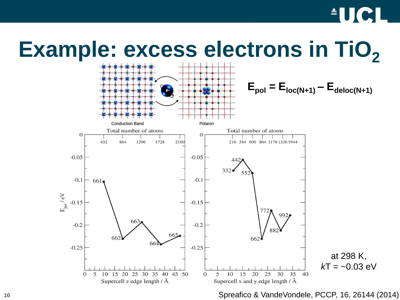## $\triangle$ UCI

## **Example: excess electrons in TiO**<sup>2</sup>



Spreafico & VandeVondele, PCCP, 16, 26144 (2014)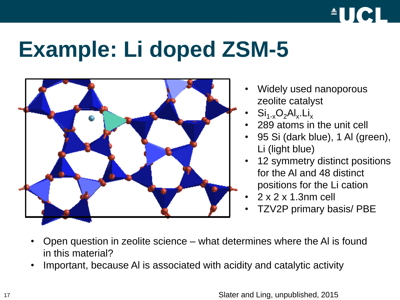

# **Example: Li doped ZSM-5**



- Widely used nanoporous zeolite catalyst
- $\text{Si}_{1-x}\text{O}_2\text{Al}_x.\text{Li}_x$
- 289 atoms in the unit cell
- 95 Si (dark blue), 1 Al (green), Li (light blue)
- 12 symmetry distinct positions for the Al and 48 distinct positions for the Li cation
- 2 x 2 x 1.3nm cell
- TZV2P primary basis/ PBE
- Open question in zeolite science what determines where the Al is found in this material?
- Important, because Al is associated with acidity and catalytic activity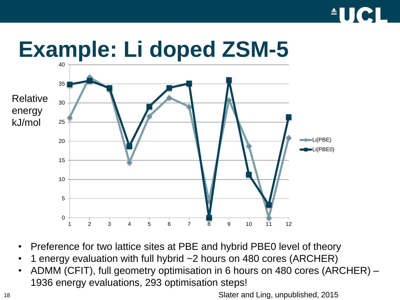



- Preference for two lattice sites at PBE and hybrid PBE0 level of theory
- 1 energy evaluation with full hybrid ~2 hours on 480 cores (ARCHER)
- ADMM (CFIT), full geometry optimisation in 6 hours on 480 cores (ARCHER) 1936 energy evaluations, 293 optimisation steps!

18 Slater and Ling, unpublished, 2015